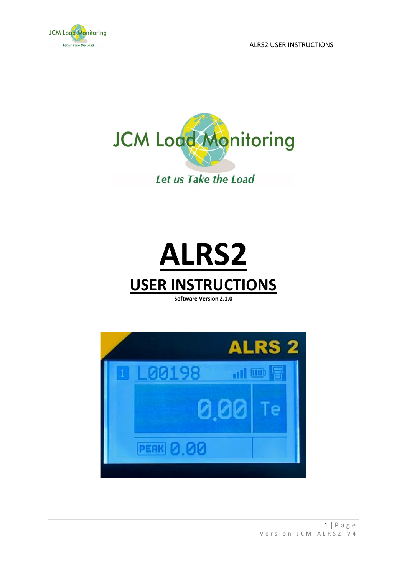





**Software Version 2.1.0**

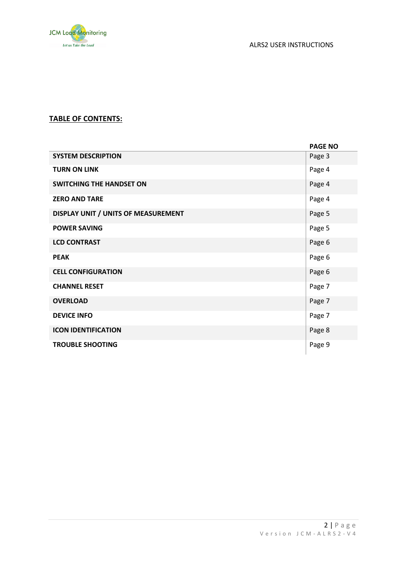

## **TABLE OF CONTENTS:**

|                                     | <b>PAGE NO</b> |
|-------------------------------------|----------------|
| <b>SYSTEM DESCRIPTION</b>           | Page 3         |
| <b>TURN ON LINK</b>                 | Page 4         |
| <b>SWITCHING THE HANDSET ON</b>     | Page 4         |
| <b>ZERO AND TARE</b>                | Page 4         |
| DISPLAY UNIT / UNITS OF MEASUREMENT | Page 5         |
| <b>POWER SAVING</b>                 | Page 5         |
| <b>LCD CONTRAST</b>                 | Page 6         |
| <b>PEAK</b>                         | Page 6         |
| <b>CELL CONFIGURATION</b>           | Page 6         |
| <b>CHANNEL RESET</b>                | Page 7         |
| <b>OVERLOAD</b>                     | Page 7         |
| <b>DEVICE INFO</b>                  | Page 7         |
| <b>ICON IDENTIFICATION</b>          | Page 8         |
| <b>TROUBLE SHOOTING</b>             | Page 9         |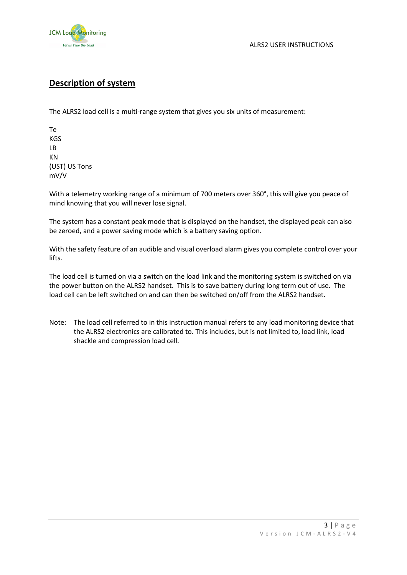

# **Description of system**

The ALRS2 load cell is a multi-range system that gives you six units of measurement:

Te KGS LB KN (UST) US Tons mV/V

With a telemetry working range of a minimum of 700 meters over 360°, this will give you peace of mind knowing that you will never lose signal.

The system has a constant peak mode that is displayed on the handset, the displayed peak can also be zeroed, and a power saving mode which is a battery saving option.

With the safety feature of an audible and visual overload alarm gives you complete control over your lifts.

The load cell is turned on via a switch on the load link and the monitoring system is switched on via the power button on the ALRS2 handset. This is to save battery during long term out of use. The load cell can be left switched on and can then be switched on/off from the ALRS2 handset.

Note: The load cell referred to in this instruction manual refers to any load monitoring device that the ALRS2 electronics are calibrated to. This includes, but is not limited to, load link, load shackle and compression load cell.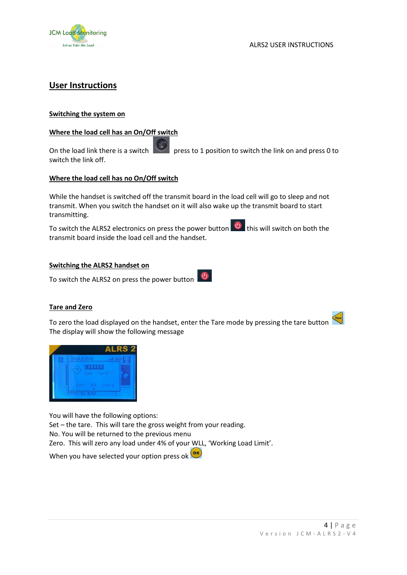

## **User Instructions**

## **Switching the system on**

## **Where the load cell has an On/Off switch**

On the load link there is a switch press to 1 position to switch the link on and press 0 to switch the link off.

## **Where the load cell has no On/Off switch**

While the handset is switched off the transmit board in the load cell will go to sleep and not transmit. When you switch the handset on it will also wake up the transmit board to start transmitting.

To switch the ALRS2 electronics on press the power button  $\bigcirc$  this will switch on both the transmit board inside the load cell and the handset.

## **Switching the ALRS2 handset on**

 $\circledcirc$ To switch the ALRS2 on press the power button

## **Tare and Zero**

To zero the load displayed on the handset, enter the Tare mode by pressing the tare button The display will show the following message



You will have the following options:

Set – the tare. This will tare the gross weight from your reading.

No. You will be returned to the previous menu

Zero. This will zero any load under 4% of your WLL, 'Working Load Limit'.

When you have selected your option press ok (OK)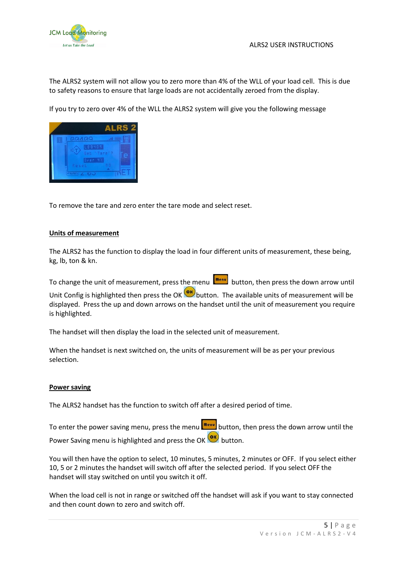

The ALRS2 system will not allow you to zero more than 4% of the WLL of your load cell. This is due to safety reasons to ensure that large loads are not accidentally zeroed from the display.

If you try to zero over 4% of the WLL the ALRS2 system will give you the following message



To remove the tare and zero enter the tare mode and select reset.

#### **Units of measurement**

The ALRS2 has the function to display the load in four different units of measurement, these being, kg, lb, ton & kn.

To change the unit of measurement, press the menu  $\left[\frac{m_{env}}{m_{env}}\right]$  button, then press the down arrow until

Unit Config is highlighted then press the OK  $\overline{\text{ew}}$  button. The available units of measurement will be displayed. Press the up and down arrows on the handset until the unit of measurement you require is highlighted.

The handset will then display the load in the selected unit of measurement.

When the handset is next switched on, the units of measurement will be as per your previous selection.

#### **Power saving**

The ALRS2 handset has the function to switch off after a desired period of time.

To enter the power saving menu, press the menu **menu** button, then press the down arrow until the Power Saving menu is highlighted and press the OK **OK** button.

You will then have the option to select, 10 minutes, 5 minutes, 2 minutes or OFF. If you select either 10, 5 or 2 minutes the handset will switch off after the selected period. If you select OFF the handset will stay switched on until you switch it off.

When the load cell is not in range or switched off the handset will ask if you want to stay connected and then count down to zero and switch off.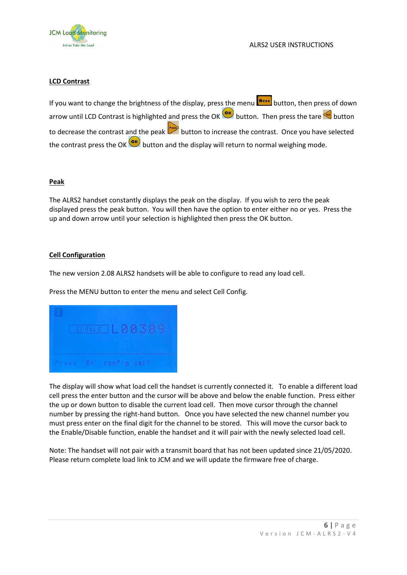

## **LCD Contrast**

If you want to change the brightness of the display, press the menu **menulum** button, then press of down arrow until LCD Contrast is highlighted and press the OK  $\overline{\text{or}}$  button. Then press the tare  $\overline{\text{or}}$  button to decrease the contrast and the peak **button to increase the contrast.** Once you have selected the contrast press the OK  $\frac{CK}{D}$  button and the display will return to normal weighing mode.

### **Peak**

The ALRS2 handset constantly displays the peak on the display. If you wish to zero the peak displayed press the peak button. You will then have the option to enter either no or yes. Press the up and down arrow until your selection is highlighted then press the OK button.

#### **Cell Configuration**

The new version 2.08 ALRS2 handsets will be able to configure to read any load cell.

Press the MENU button to enter the menu and select Cell Config.



The display will show what load cell the handset is currently connected it. To enable a different load cell press the enter button and the cursor will be above and below the enable function. Press either the up or down button to disable the current load cell. Then move cursor through the channel number by pressing the right-hand button. Once you have selected the new channel number you must press enter on the final digit for the channel to be stored. This will move the cursor back to the Enable/Disable function, enable the handset and it will pair with the newly selected load cell.

Note: The handset will not pair with a transmit board that has not been updated since 21/05/2020. Please return complete load link to JCM and we will update the firmware free of charge.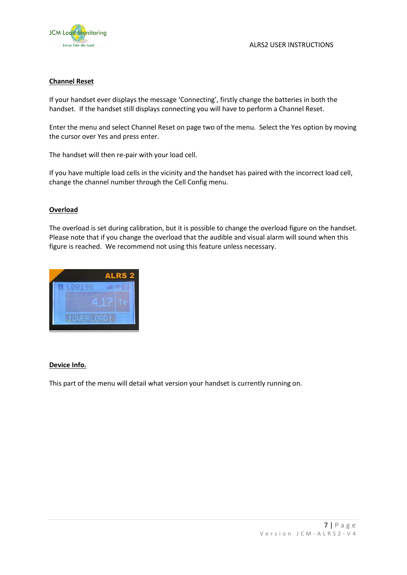

## **Channel Reset**

If your handset ever displays the message 'Connecting', firstly change the batteries in both the handset. If the handset still displays connecting you will have to perform a Channel Reset.

Enter the menu and select Channel Reset on page two of the menu. Select the Yes option by moving the cursor over Yes and press enter.

The handset will then re-pair with your load cell.

If you have multiple load cells in the vicinity and the handset has paired with the incorrect load cell, change the channel number through the Cell Config menu.

### **Overload**

The overload is set during calibration, but it is possible to change the overload figure on the handset. Please note that if you change the overload that the audible and visual alarm will sound when this figure is reached. We recommend not using this feature unless necessary.



### **Device Info.**

This part of the menu will detail what version your handset is currently running on.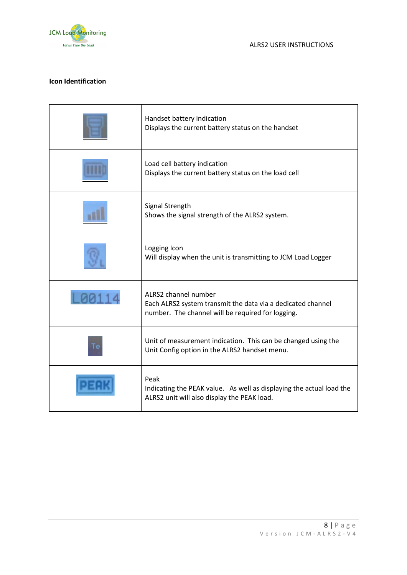

## **Icon Identification**

| Handset battery indication<br>Displays the current battery status on the handset                                                         |
|------------------------------------------------------------------------------------------------------------------------------------------|
| Load cell battery indication<br>Displays the current battery status on the load cell                                                     |
| Signal Strength<br>Shows the signal strength of the ALRS2 system.                                                                        |
| Logging Icon<br>Will display when the unit is transmitting to JCM Load Logger                                                            |
| ALRS2 channel number<br>Each ALRS2 system transmit the data via a dedicated channel<br>number. The channel will be required for logging. |
| Unit of measurement indication. This can be changed using the<br>Unit Config option in the ALRS2 handset menu.                           |
| Peak<br>Indicating the PEAK value. As well as displaying the actual load the<br>ALRS2 unit will also display the PEAK load.              |